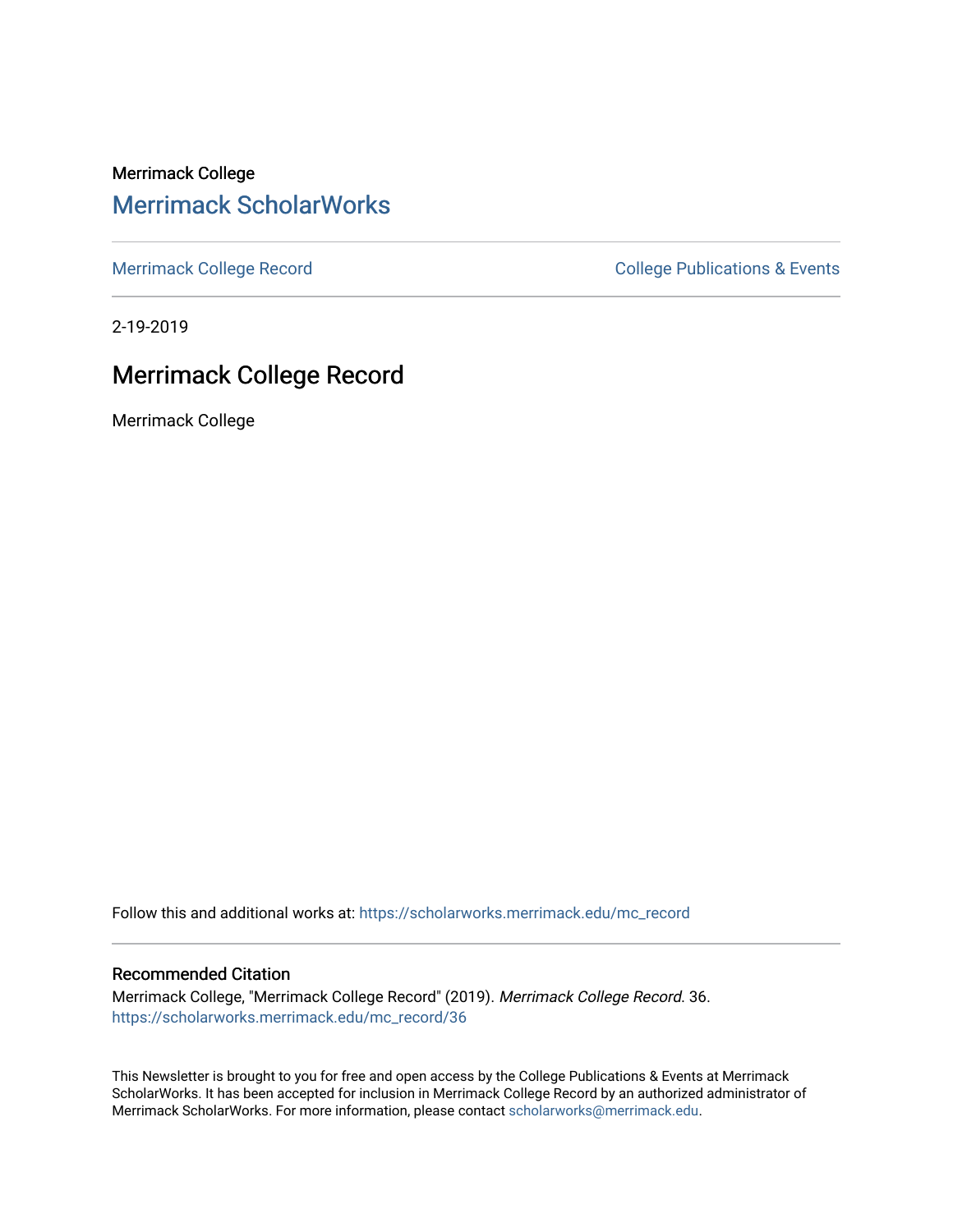Merrimack College [Merrimack ScholarWorks](https://scholarworks.merrimack.edu/) 

[Merrimack College Record](https://scholarworks.merrimack.edu/mc_record) **College Record** College Publications & Events

2-19-2019

# Merrimack College Record

Merrimack College

Follow this and additional works at: [https://scholarworks.merrimack.edu/mc\\_record](https://scholarworks.merrimack.edu/mc_record?utm_source=scholarworks.merrimack.edu%2Fmc_record%2F36&utm_medium=PDF&utm_campaign=PDFCoverPages) 

#### Recommended Citation

Merrimack College, "Merrimack College Record" (2019). Merrimack College Record. 36. [https://scholarworks.merrimack.edu/mc\\_record/36](https://scholarworks.merrimack.edu/mc_record/36?utm_source=scholarworks.merrimack.edu%2Fmc_record%2F36&utm_medium=PDF&utm_campaign=PDFCoverPages)

This Newsletter is brought to you for free and open access by the College Publications & Events at Merrimack ScholarWorks. It has been accepted for inclusion in Merrimack College Record by an authorized administrator of Merrimack ScholarWorks. For more information, please contact [scholarworks@merrimack.edu](mailto:scholarworks@merrimack.edu).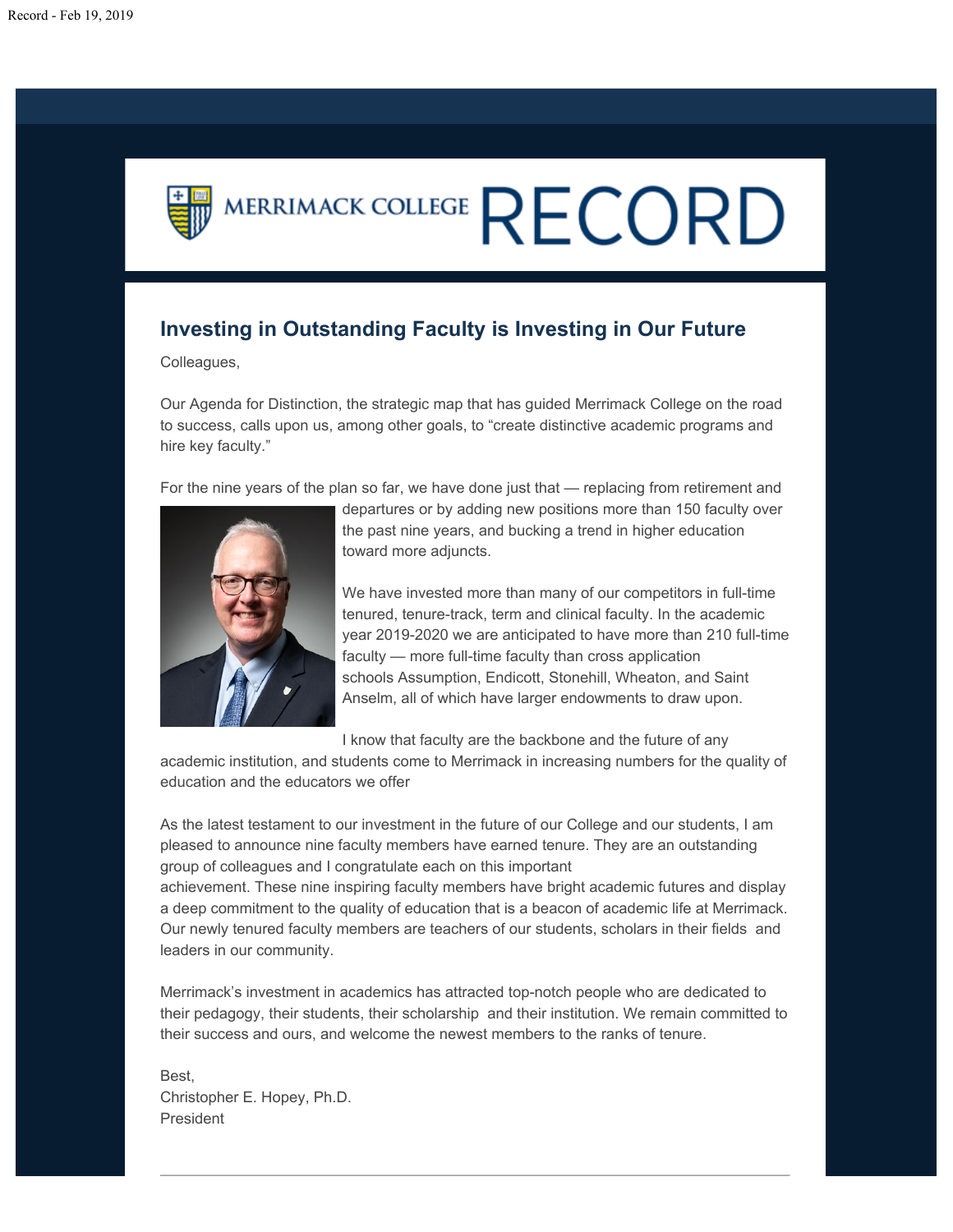# MERRIMACK COLLEGE  $\mathsf{RECORD}$

# **Investing in Outstanding Faculty is Investing in Our Future**

Colleagues,

Our Agenda for Distinction, the strategic map that has guided Merrimack College on the road to success, calls upon us, among other goals, to "create distinctive academic programs and hire key faculty."

For the nine years of the plan so far, we have done just that — replacing from retirement and



departures or by adding new positions more than 150 faculty over the past nine years, and bucking a trend in higher education toward more adjuncts.

We have invested more than many of our competitors in full-time tenured, tenure-track, term and clinical faculty. In the academic year 2019-2020 we are anticipated to have more than 210 full-time faculty — more full-time faculty than cross application schools Assumption, Endicott, Stonehill, Wheaton, and Saint Anselm, all of which have larger endowments to draw upon.

I know that faculty are the backbone and the future of any

academic institution, and students come to Merrimack in increasing numbers for the quality of education and the educators we offer

As the latest testament to our investment in the future of our College and our students, I am pleased to announce nine faculty members have earned tenure. They are an outstanding group of colleagues and I congratulate each on this important

achievement. These nine inspiring faculty members have bright academic futures and display a deep commitment to the quality of education that is a beacon of academic life at Merrimack. Our newly tenured faculty members are teachers of our students, scholars in their fields and leaders in our community.

Merrimack's investment in academics has attracted top-notch people who are dedicated to their pedagogy, their students, their scholarship and their institution. We remain committed to their success and ours, and welcome the newest members to the ranks of tenure.

Best, Christopher E. Hopey, Ph.D. President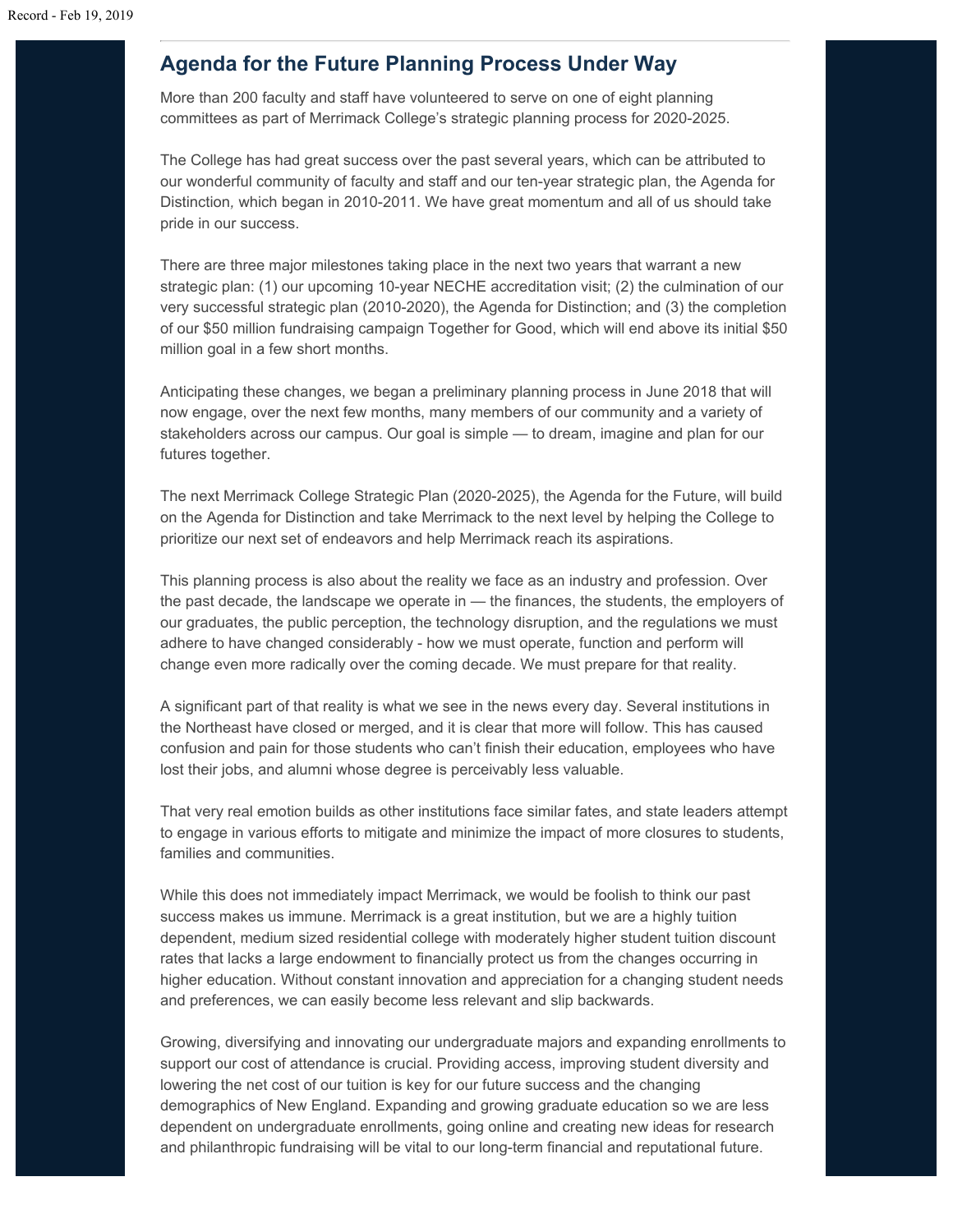# **Agenda for the Future Planning Process Under Way**

More than 200 faculty and staff have volunteered to serve on one of eight planning committees as part of Merrimack College's strategic planning process for 2020-2025.

The College has had great success over the past several years, which can be attributed to our wonderful community of faculty and staff and our ten-year strategic plan, the Agenda for Distinction*,* which began in 2010-2011. We have great momentum and all of us should take pride in our success.

There are three major milestones taking place in the next two years that warrant a new strategic plan: (1) our upcoming 10-year NECHE accreditation visit; (2) the culmination of our very successful strategic plan (2010-2020), the Agenda for Distinction; and (3) the completion of our \$50 million fundraising campaign Together for Good, which will end above its initial \$50 million goal in a few short months.

Anticipating these changes, we began a preliminary planning process in June 2018 that will now engage, over the next few months, many members of our community and a variety of stakeholders across our campus. Our goal is simple — to dream, imagine and plan for our futures together.

The next Merrimack College Strategic Plan (2020-2025), the Agenda for the Future, will build on the Agenda for Distinction and take Merrimack to the next level by helping the College to prioritize our next set of endeavors and help Merrimack reach its aspirations.

This planning process is also about the reality we face as an industry and profession. Over the past decade, the landscape we operate in — the finances, the students, the employers of our graduates, the public perception, the technology disruption, and the regulations we must adhere to have changed considerably - how we must operate, function and perform will change even more radically over the coming decade. We must prepare for that reality.

A significant part of that reality is what we see in the news every day. Several institutions in the Northeast have closed or merged, and it is clear that more will follow. This has caused confusion and pain for those students who can't finish their education, employees who have lost their jobs, and alumni whose degree is perceivably less valuable.

That very real emotion builds as other institutions face similar fates, and state leaders attempt to engage in various efforts to mitigate and minimize the impact of more closures to students, families and communities.

While this does not immediately impact Merrimack, we would be foolish to think our past success makes us immune. Merrimack is a great institution, but we are a highly tuition dependent, medium sized residential college with moderately higher student tuition discount rates that lacks a large endowment to financially protect us from the changes occurring in higher education. Without constant innovation and appreciation for a changing student needs and preferences, we can easily become less relevant and slip backwards.

Growing, diversifying and innovating our undergraduate majors and expanding enrollments to support our cost of attendance is crucial. Providing access, improving student diversity and lowering the net cost of our tuition is key for our future success and the changing demographics of New England. Expanding and growing graduate education so we are less dependent on undergraduate enrollments, going online and creating new ideas for research and philanthropic fundraising will be vital to our long-term financial and reputational future.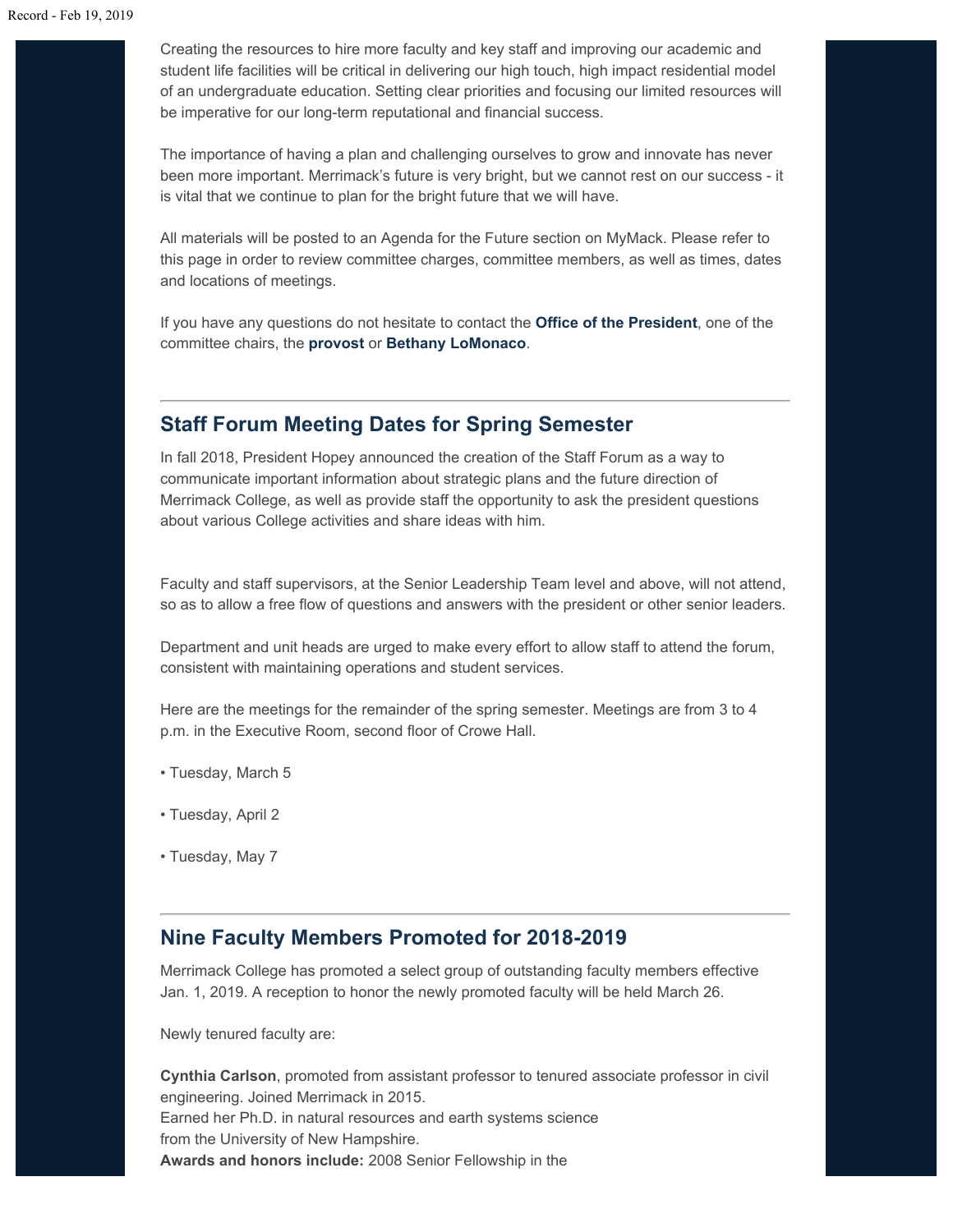Creating the resources to hire more faculty and key staff and improving our academic and student life facilities will be critical in delivering our high touch, high impact residential model of an undergraduate education. Setting clear priorities and focusing our limited resources will be imperative for our long-term reputational and financial success.

The importance of having a plan and challenging ourselves to grow and innovate has never been more important. Merrimack's future is very bright, but we cannot rest on our success - it is vital that we continue to plan for the bright future that we will have.

All materials will be posted to an Agenda for the Future section on MyMack. Please refer to this page in order to review committee charges, committee members, as well as times, dates and locations of meetings.

If you have any questions do not hesitate to contact the **[Office of the President](mailto:officeofthepresident@merrimack.edu)**, one of the committee chairs, the **[provost](mailto:officeoftheprovost@merrimack.edu)** or **[Bethany LoMonaco](mailto:lomonacob@merrimack.edu)**.

#### **Staff Forum Meeting Dates for Spring Semester**

In fall 2018, President Hopey announced the creation of the Staff Forum as a way to communicate important information about strategic plans and the future direction of Merrimack College, as well as provide staff the opportunity to ask the president questions about various College activities and share ideas with him.

Faculty and staff supervisors, at the Senior Leadership Team level and above, will not attend, so as to allow a free flow of questions and answers with the president or other senior leaders.

Department and unit heads are urged to make every effort to allow staff to attend the forum, consistent with maintaining operations and student services.

Here are the meetings for the remainder of the spring semester. Meetings are from 3 to 4 p.m. in the Executive Room, second floor of Crowe Hall.

- Tuesday, March 5
- Tuesday, April 2
- Tuesday, May 7

#### **Nine Faculty Members Promoted for 2018-2019**

Merrimack College has promoted a select group of outstanding faculty members effective Jan. 1, 2019. A reception to honor the newly promoted faculty will be held March 26.

Newly tenured faculty are:

**Cynthia Carlson**, promoted from assistant professor to tenured associate professor in civil engineering. Joined Merrimack in 2015. Earned her Ph.D. in natural resources and earth systems science from the University of New Hampshire. **Awards and honors include:** 2008 Senior Fellowship in the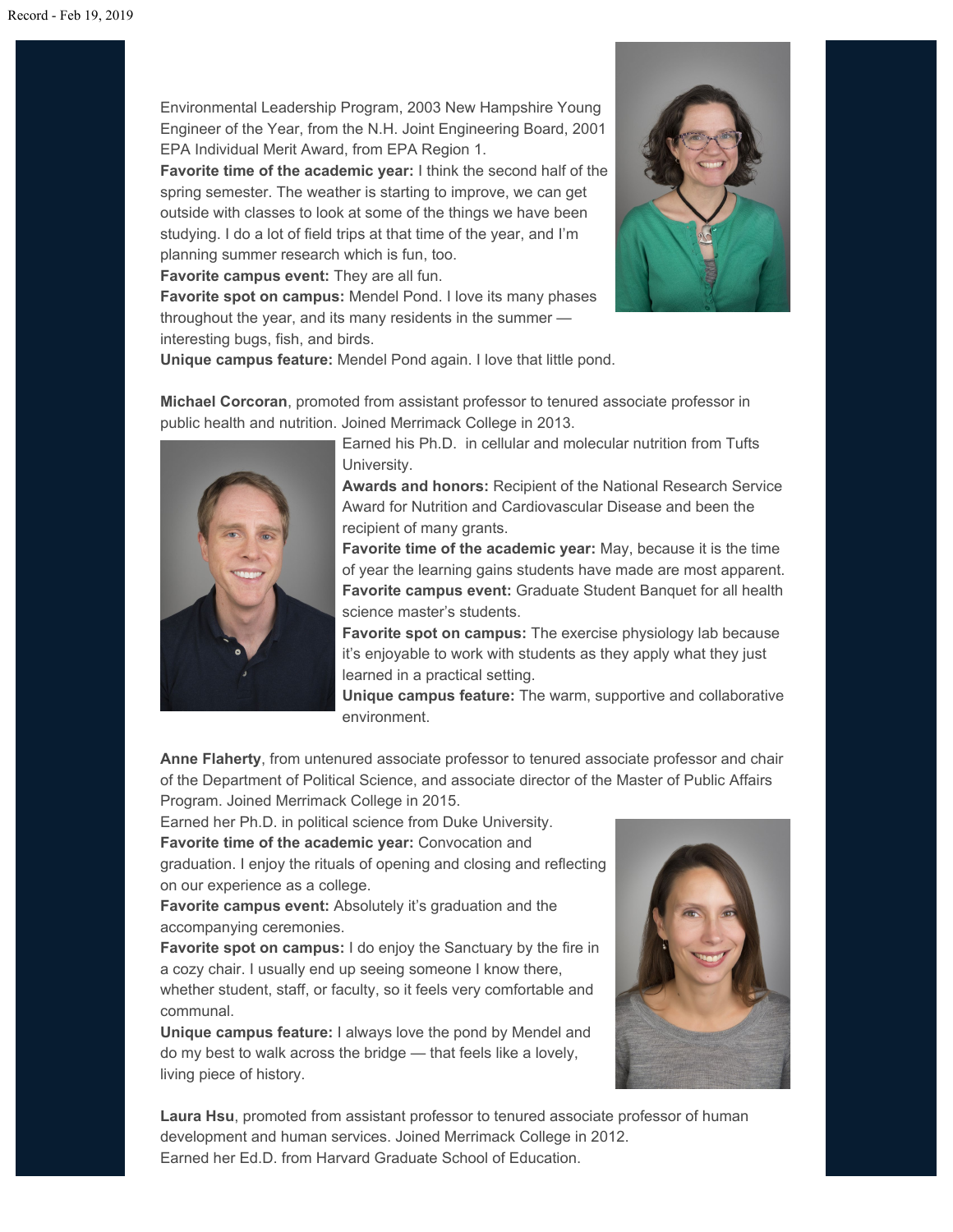Environmental Leadership Program, 2003 New Hampshire Young Engineer of the Year, from the N.H. Joint Engineering Board, 2001 EPA Individual Merit Award, from EPA Region 1.

**Favorite time of the academic year:** I think the second half of the spring semester. The weather is starting to improve, we can get outside with classes to look at some of the things we have been studying. I do a lot of field trips at that time of the year, and I'm planning summer research which is fun, too.

**Favorite campus event:** They are all fun.

**Favorite spot on campus:** Mendel Pond. I love its many phases throughout the year, and its many residents in the summer interesting bugs, fish, and birds.



**Unique campus feature:** Mendel Pond again. I love that little pond.

**Michael Corcoran**, promoted from assistant professor to tenured associate professor in public health and nutrition. Joined Merrimack College in 2013.



Earned his Ph.D. in cellular and molecular nutrition from Tufts University.

**Awards and honors:** Recipient of the National Research Service Award for Nutrition and Cardiovascular Disease and been the recipient of many grants.

**Favorite time of the academic year:** May, because it is the time of year the learning gains students have made are most apparent. **Favorite campus event:** Graduate Student Banquet for all health science master's students.

**Favorite spot on campus:** The exercise physiology lab because it's enjoyable to work with students as they apply what they just learned in a practical setting.

**Unique campus feature:** The warm, supportive and collaborative environment.

**Anne Flaherty**, from untenured associate professor to tenured associate professor and chair of the Department of Political Science, and associate director of the Master of Public Affairs Program. Joined Merrimack College in 2015.

Earned her Ph.D. in political science from Duke University.

**Favorite time of the academic year:** Convocation and

graduation. I enjoy the rituals of opening and closing and reflecting on our experience as a college.

**Favorite campus event:** Absolutely it's graduation and the accompanying ceremonies.

**Favorite spot on campus:** I do enjoy the Sanctuary by the fire in a cozy chair. I usually end up seeing someone I know there, whether student, staff, or faculty, so it feels very comfortable and communal.

**Unique campus feature:** I always love the pond by Mendel and do my best to walk across the bridge — that feels like a lovely, living piece of history.



**Laura Hsu**, promoted from assistant professor to tenured associate professor of human development and human services. Joined Merrimack College in 2012. Earned her Ed.D. from Harvard Graduate School of Education.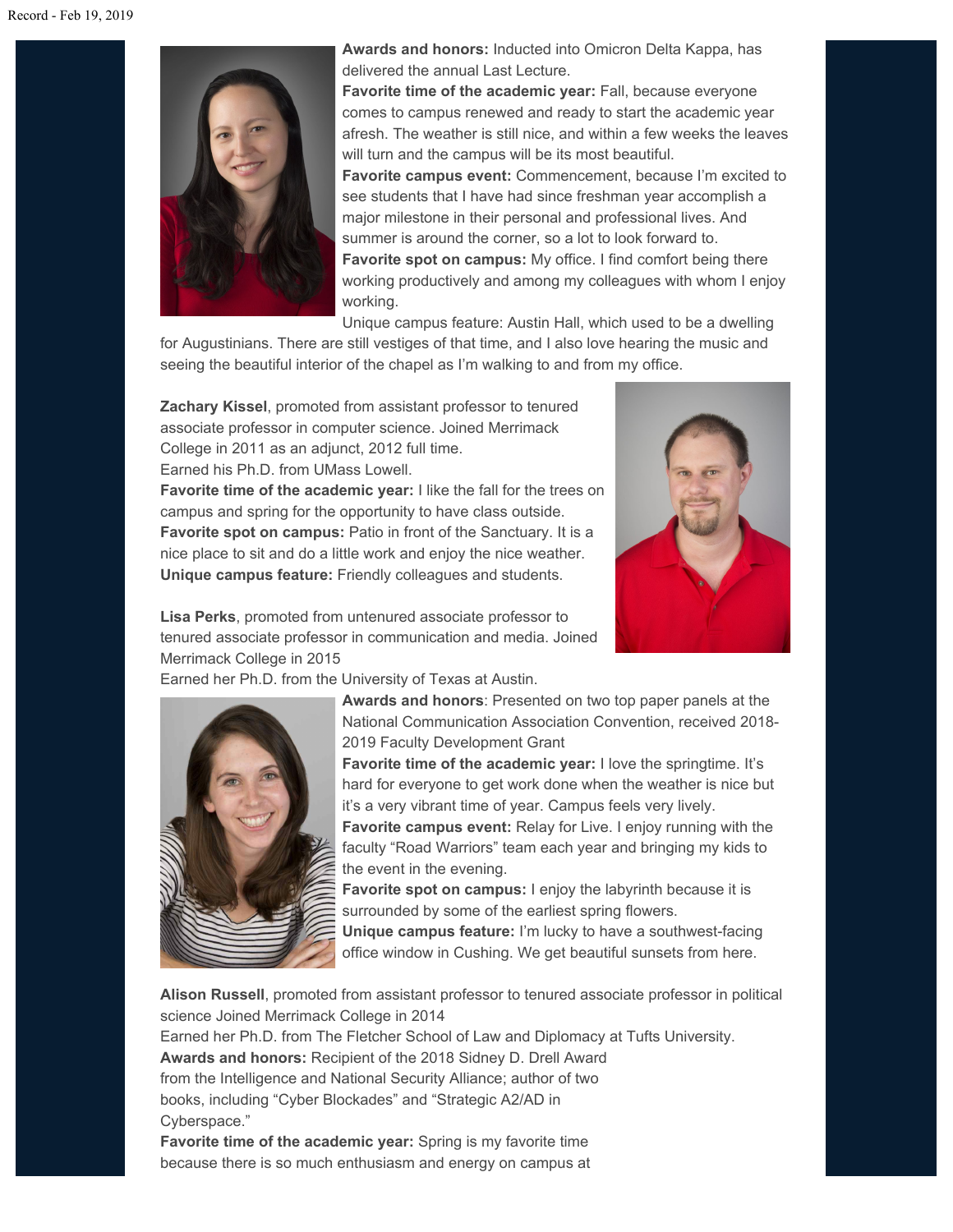

**Awards and honors:** Inducted into Omicron Delta Kappa, has delivered the annual Last Lecture.

**Favorite time of the academic year:** Fall, because everyone comes to campus renewed and ready to start the academic year afresh. The weather is still nice, and within a few weeks the leaves will turn and the campus will be its most beautiful.

**Favorite campus event:** Commencement, because I'm excited to see students that I have had since freshman year accomplish a major milestone in their personal and professional lives. And summer is around the corner, so a lot to look forward to. **Favorite spot on campus:** My office. I find comfort being there working productively and among my colleagues with whom I enjoy working.

Unique campus feature: Austin Hall, which used to be a dwelling

for Augustinians. There are still vestiges of that time, and I also love hearing the music and seeing the beautiful interior of the chapel as I'm walking to and from my office.

**Zachary Kissel**, promoted from assistant professor to tenured associate professor in computer science. Joined Merrimack College in 2011 as an adjunct, 2012 full time. Earned his Ph.D. from UMass Lowell.

**Favorite time of the academic year:** I like the fall for the trees on campus and spring for the opportunity to have class outside. **Favorite spot on campus:** Patio in front of the Sanctuary. It is a nice place to sit and do a little work and enjoy the nice weather. **Unique campus feature:** Friendly colleagues and students.



**Lisa Perks**, promoted from untenured associate professor to tenured associate professor in communication and media. Joined Merrimack College in 2015

Earned her Ph.D. from the University of Texas at Austin.



**Awards and honors**: Presented on two top paper panels at the National Communication Association Convention, received 2018- 2019 Faculty Development Grant

**Favorite time of the academic year:** I love the springtime. It's hard for everyone to get work done when the weather is nice but it's a very vibrant time of year. Campus feels very lively.

**Favorite campus event:** Relay for Live. I enjoy running with the faculty "Road Warriors" team each year and bringing my kids to the event in the evening.

**Favorite spot on campus:** I enjoy the labyrinth because it is surrounded by some of the earliest spring flowers.

**Unique campus feature:** I'm lucky to have a southwest-facing office window in Cushing. We get beautiful sunsets from here.

**Alison Russell**, promoted from assistant professor to tenured associate professor in political science Joined Merrimack College in 2014 Earned her Ph.D. from The Fletcher School of Law and Diplomacy at Tufts University. **Awards and honors:** Recipient of the 2018 Sidney D. Drell Award from the Intelligence and National Security Alliance; author of two books, including "Cyber Blockades" and "Strategic A2/AD in

Cyberspace."

**Favorite time of the academic year:** Spring is my favorite time because there is so much enthusiasm and energy on campus at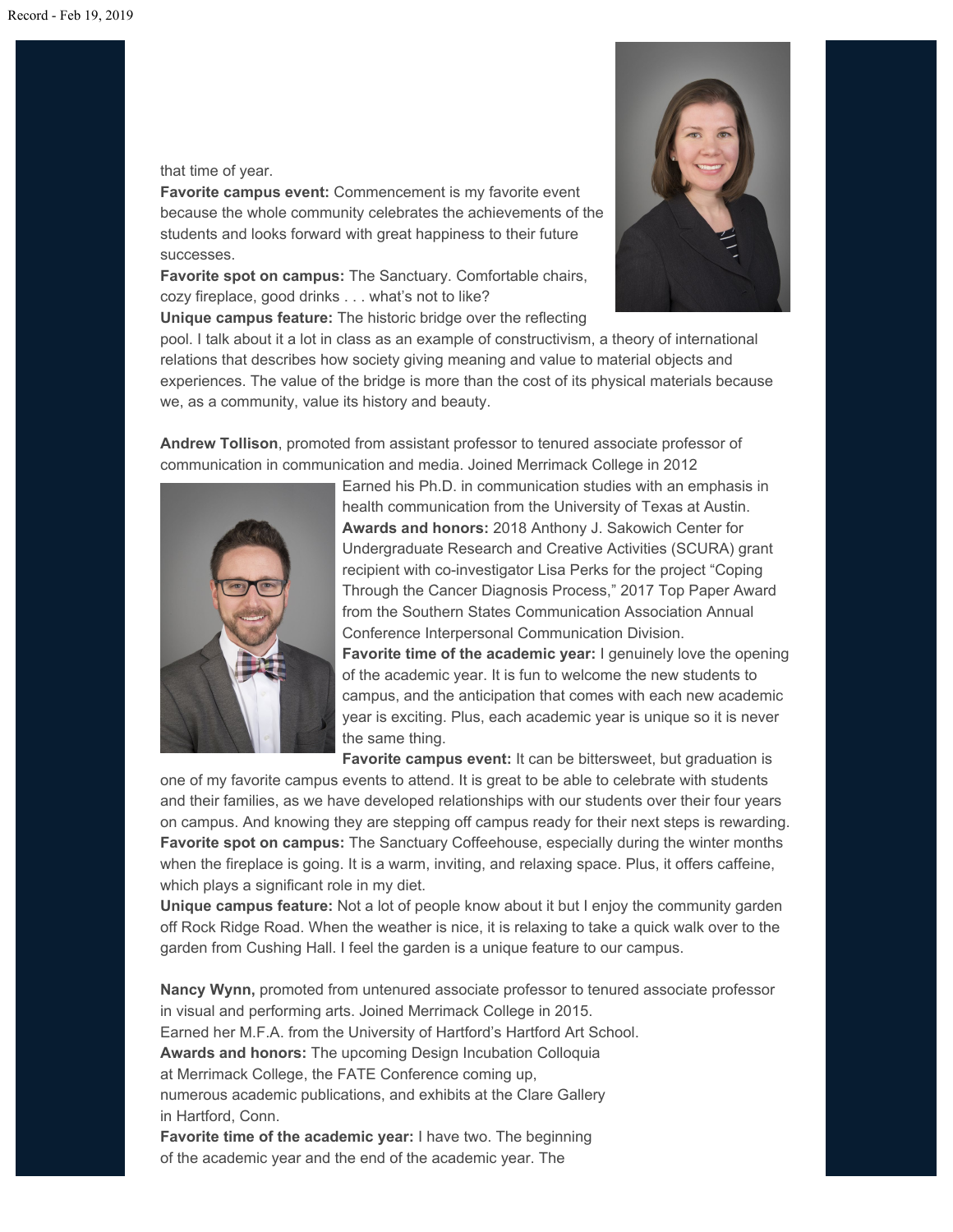#### that time of year.

**Favorite campus event:** Commencement is my favorite event because the whole community celebrates the achievements of the students and looks forward with great happiness to their future successes.

**Favorite spot on campus:** The Sanctuary. Comfortable chairs, cozy fireplace, good drinks . . . what's not to like?



**Unique campus feature:** The historic bridge over the reflecting

pool. I talk about it a lot in class as an example of constructivism, a theory of international relations that describes how society giving meaning and value to material objects and experiences. The value of the bridge is more than the cost of its physical materials because we, as a community, value its history and beauty.

**Andrew Tollison**, promoted from assistant professor to tenured associate professor of communication in communication and media. Joined Merrimack College in 2012



Earned his Ph.D. in communication studies with an emphasis in health communication from the University of Texas at Austin. **Awards and honors:** 2018 Anthony J. Sakowich Center for Undergraduate Research and Creative Activities (SCURA) grant recipient with co-investigator Lisa Perks for the project "Coping Through the Cancer Diagnosis Process," 2017 Top Paper Award from the Southern States Communication Association Annual Conference Interpersonal Communication Division.

**Favorite time of the academic year:** I genuinely love the opening of the academic year. It is fun to welcome the new students to campus, and the anticipation that comes with each new academic year is exciting. Plus, each academic year is unique so it is never the same thing.

**Favorite campus event:** It can be bittersweet, but graduation is

one of my favorite campus events to attend. It is great to be able to celebrate with students and their families, as we have developed relationships with our students over their four years on campus. And knowing they are stepping off campus ready for their next steps is rewarding. **Favorite spot on campus:** The Sanctuary Coffeehouse, especially during the winter months when the fireplace is going. It is a warm, inviting, and relaxing space. Plus, it offers caffeine, which plays a significant role in my diet.

**Unique campus feature:** Not a lot of people know about it but I enjoy the community garden off Rock Ridge Road. When the weather is nice, it is relaxing to take a quick walk over to the garden from Cushing Hall. I feel the garden is a unique feature to our campus.

**Nancy Wynn,** promoted from untenured associate professor to tenured associate professor in visual and performing arts. Joined Merrimack College in 2015. Earned her M.F.A. from the University of Hartford's Hartford Art School. **Awards and honors:** The upcoming Design Incubation Colloquia at Merrimack College, the FATE Conference coming up, numerous academic publications, and exhibits at the Clare Gallery in Hartford, Conn. **Favorite time of the academic year:** I have two. The beginning

of the academic year and the end of the academic year. The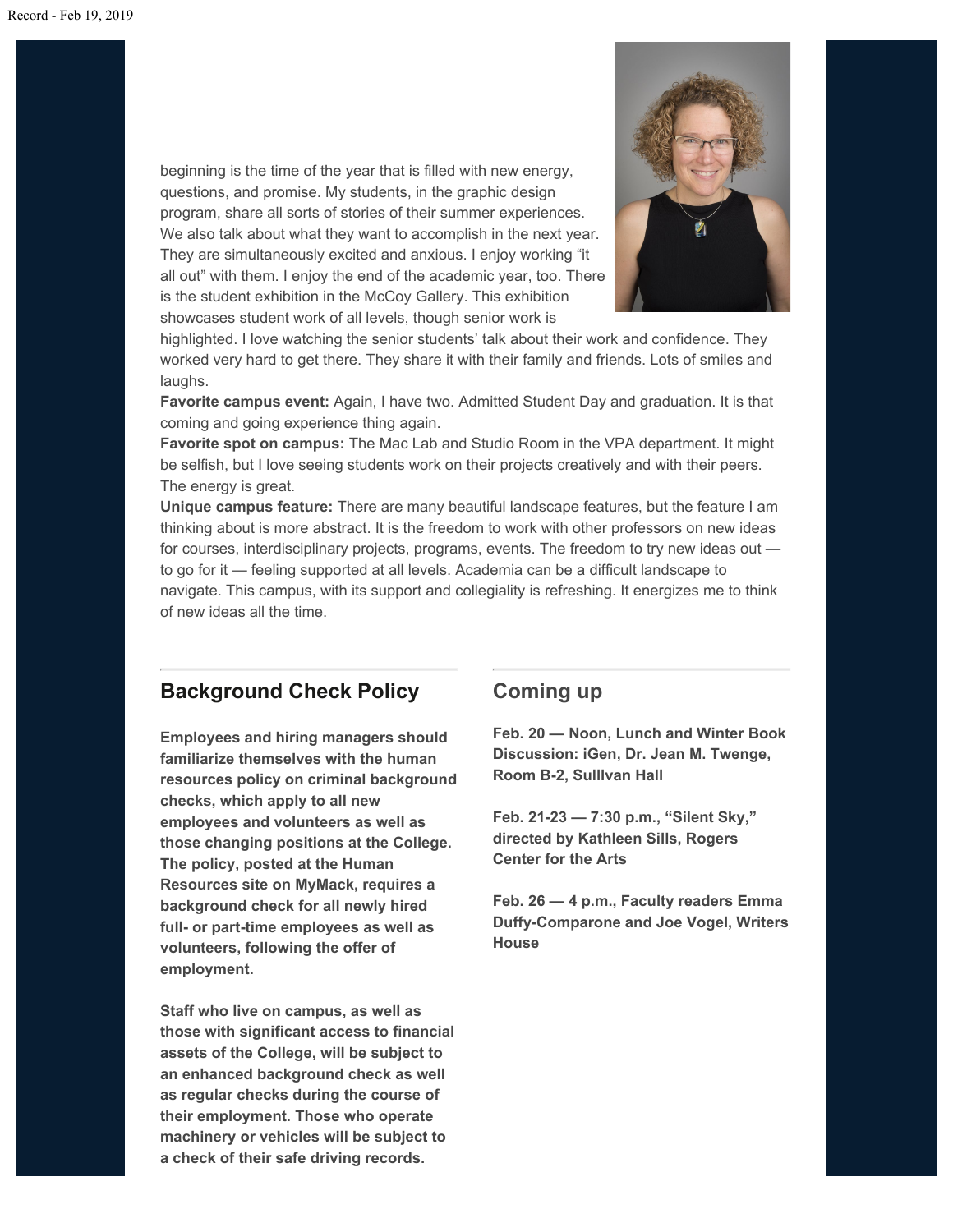beginning is the time of the year that is filled with new energy, questions, and promise. My students, in the graphic design program, share all sorts of stories of their summer experiences. We also talk about what they want to accomplish in the next year. They are simultaneously excited and anxious. I enjoy working "it all out" with them. I enjoy the end of the academic year, too. There is the student exhibition in the McCoy Gallery. This exhibition showcases student work of all levels, though senior work is



highlighted. I love watching the senior students' talk about their work and confidence. They worked very hard to get there. They share it with their family and friends. Lots of smiles and laughs.

**Favorite campus event:** Again, I have two. Admitted Student Day and graduation. It is that coming and going experience thing again.

**Favorite spot on campus:** The Mac Lab and Studio Room in the VPA department. It might be selfish, but I love seeing students work on their projects creatively and with their peers. The energy is great.

**Unique campus feature:** There are many beautiful landscape features, but the feature I am thinking about is more abstract. It is the freedom to work with other professors on new ideas for courses, interdisciplinary projects, programs, events. The freedom to try new ideas out to go for it — feeling supported at all levels. Academia can be a difficult landscape to navigate. This campus, with its support and collegiality is refreshing. It energizes me to think of new ideas all the time.

## **Background Check Policy**

**Employees and hiring managers should familiarize themselves with the human resources policy on criminal background checks, which apply to all new employees and volunteers as well as those changing positions at the College. The policy, posted at the Human Resources site on MyMack, requires a background check for all newly hired full- or part-time employees as well as volunteers, following the offer of employment.**

**Staff who live on campus, as well as those with significant access to financial assets of the College, will be subject to an enhanced background check as well as regular checks during the course of their employment. Those who operate machinery or vehicles will be subject to a check of their safe driving records.**

## **Coming up**

**Feb. 20 — Noon, Lunch and Winter Book Discussion: iGen, Dr. Jean M. Twenge, Room B-2, Sulllvan Hall**

**Feb. 21-23 — 7:30 p.m., "Silent Sky," directed by Kathleen Sills, Rogers Center for the Arts**

**Feb. 26 — 4 p.m., Faculty readers Emma Duffy-Comparone and Joe Vogel, Writers House**